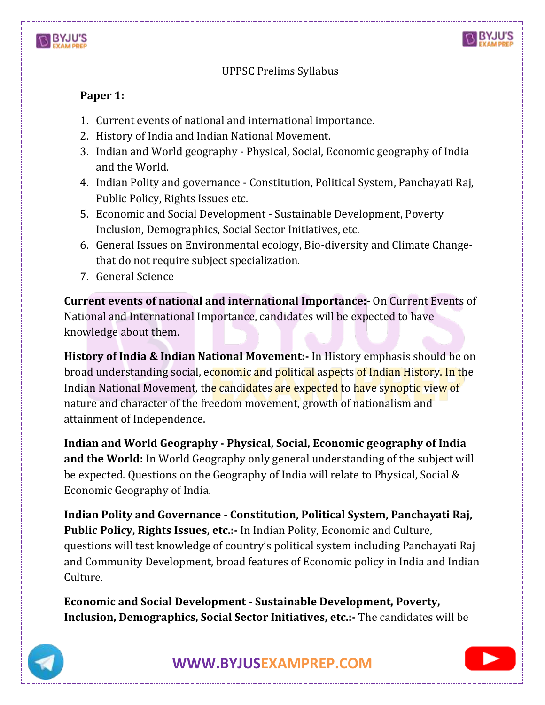



## UPPSC Prelims Syllabus

## **Paper 1:**

- 1. Current events of national and international importance.
- 2. History of India and Indian National Movement.
- 3. Indian and World geography Physical, Social, Economic geography of India and the World.
- 4. Indian Polity and governance Constitution, Political System, Panchayati Raj, Public Policy, Rights Issues etc.
- 5. Economic and Social Development Sustainable Development, Poverty Inclusion, Demographics, Social Sector Initiatives, etc.
- 6. General Issues on Environmental ecology, Bio-diversity and Climate Changethat do not require subject specialization.
- 7. General Science

**Current events of national and international Importance:-** On Current Events of National and International Importance, candidates will be expected to have knowledge about them.

**History of India & Indian National Movement:-** In History emphasis should be on broad understanding social, economic and political aspects of Indian History. In the Indian National Movement, the candidates are expected to have synoptic view of nature and character of the freedom movement, growth of nationalism and attainment of Independence.

**Indian and World Geography - Physical, Social, Economic geography of India and the World:** In World Geography only general understanding of the subject will be expected. Questions on the Geography of India will relate to Physical, Social & Economic Geography of India.

**Indian Polity and Governance - Constitution, Political System, Panchayati Raj, Public Policy, Rights Issues, etc.:-** In Indian Polity, Economic and Culture, questions will test knowledge of country's political system including Panchayati Raj and Community Development, broad features of Economic policy in India and Indian Culture.

**Economic and Social Development - Sustainable Development, Poverty, Inclusion, Demographics, Social Sector Initiatives, etc.:-** The candidates will be



**[WWW.BYJUSEXAMPREP.COM](https://byjusexamprep.com/)** 

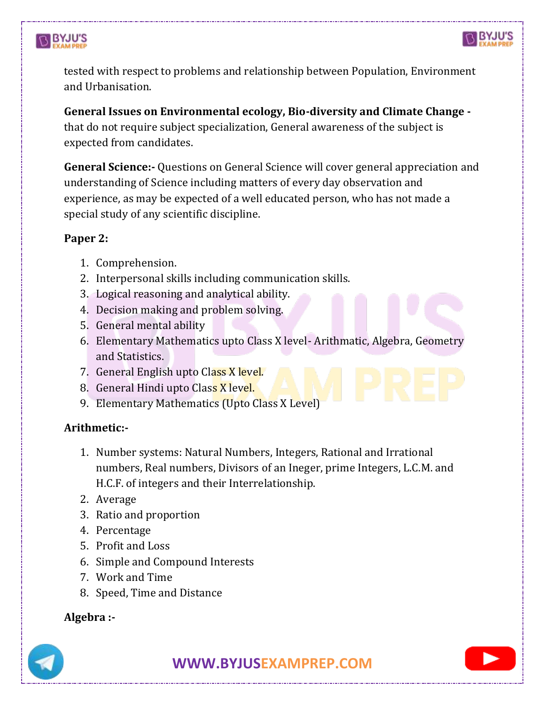



tested with respect to problems and relationship between Population, Environment and Urbanisation.

**General Issues on Environmental ecology, Bio-diversity and Climate Change**  that do not require subject specialization, General awareness of the subject is expected from candidates.

**General Science:-** Questions on General Science will cover general appreciation and understanding of Science including matters of every day observation and experience, as may be expected of a well educated person, who has not made a special study of any scientific discipline.

## **Paper 2:**

- 1. Comprehension.
- 2. Interpersonal skills including communication skills.
- 3. Logical reasoning and analytical ability.
- 4. Decision making and problem solving.
- 5. General mental ability
- 6. Elementary Mathematics upto Class X level- Arithmatic, Algebra, Geometry and Statistics.
- 7. General English upto Class X level.
- 8. General Hindi upto Class X level.
- 9. Elementary Mathematics (Upto Class X Level)

## **Arithmetic:-**

- 1. Number systems: Natural Numbers, Integers, Rational and Irrational numbers, Real numbers, Divisors of an Ineger, prime Integers, L.C.M. and H.C.F. of integers and their Interrelationship.
- 2. Average
- 3. Ratio and proportion
- 4. Percentage
- 5. Profit and Loss
- 6. Simple and Compound Interests
- 7. Work and Time
- 8. Speed, Time and Distance

## **Algebra :-**

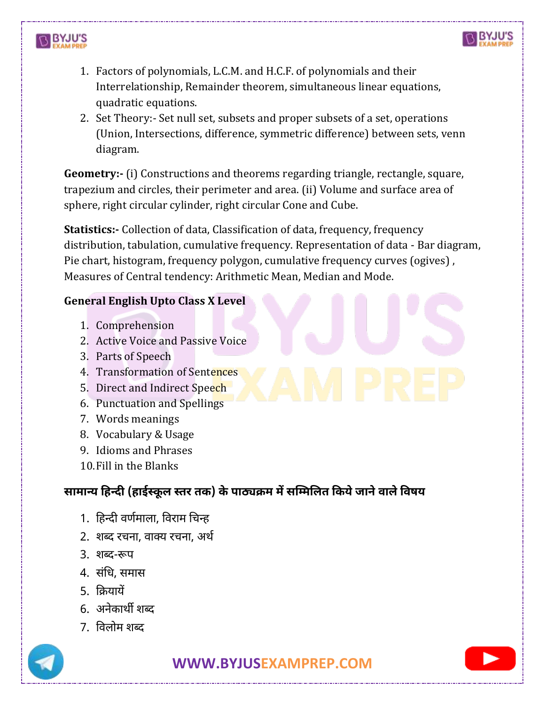



- 1. Factors of polynomials, L.C.M. and H.C.F. of polynomials and their Interrelationship, Remainder theorem, simultaneous linear equations, quadratic equations.
- 2. Set Theory:- Set null set, subsets and proper subsets of a set, operations (Union, Intersections, difference, symmetric difference) between sets, venn diagram.

**Geometry:-** (i) Constructions and theorems regarding triangle, rectangle, square, trapezium and circles, their perimeter and area. (ii) Volume and surface area of sphere, right circular cylinder, right circular Cone and Cube.

**Statistics:-** Collection of data, Classification of data, frequency, frequency distribution, tabulation, cumulative frequency. Representation of data - Bar diagram, Pie chart, histogram, frequency polygon, cumulative frequency curves (ogives) , Measures of Central tendency: Arithmetic Mean, Median and Mode.

#### **General English Upto Class X Level**

- 1. Comprehension
- 2. Active Voice and Passive Voice
- 3. Parts of Speech
- 4. Transformation of Sentences
- 5. Direct and Indirect Speech
- 6. Punctuation and Spellings
- 7. Words meanings
- 8. Vocabulary & Usage
- 9. Idioms and Phrases
- 10.Fill in the Blanks

# **सामान्य हिन्दी (िाईस्कू ल स्तर तक) के पाठ्यक्रम में सम्ममललत हकये जाने वाले हवषय**

- 1. हिन्दी वर्णमाला, हवराम चिन्ि
- 2. शब्द रिना, वाक्य रिना, अर्ण
- 3. शब्द-रूप
- 4. संचि, समास
- 5. हियायें
- 6. अनेकार्ी शब्द
- 7. हवलोम शब्द